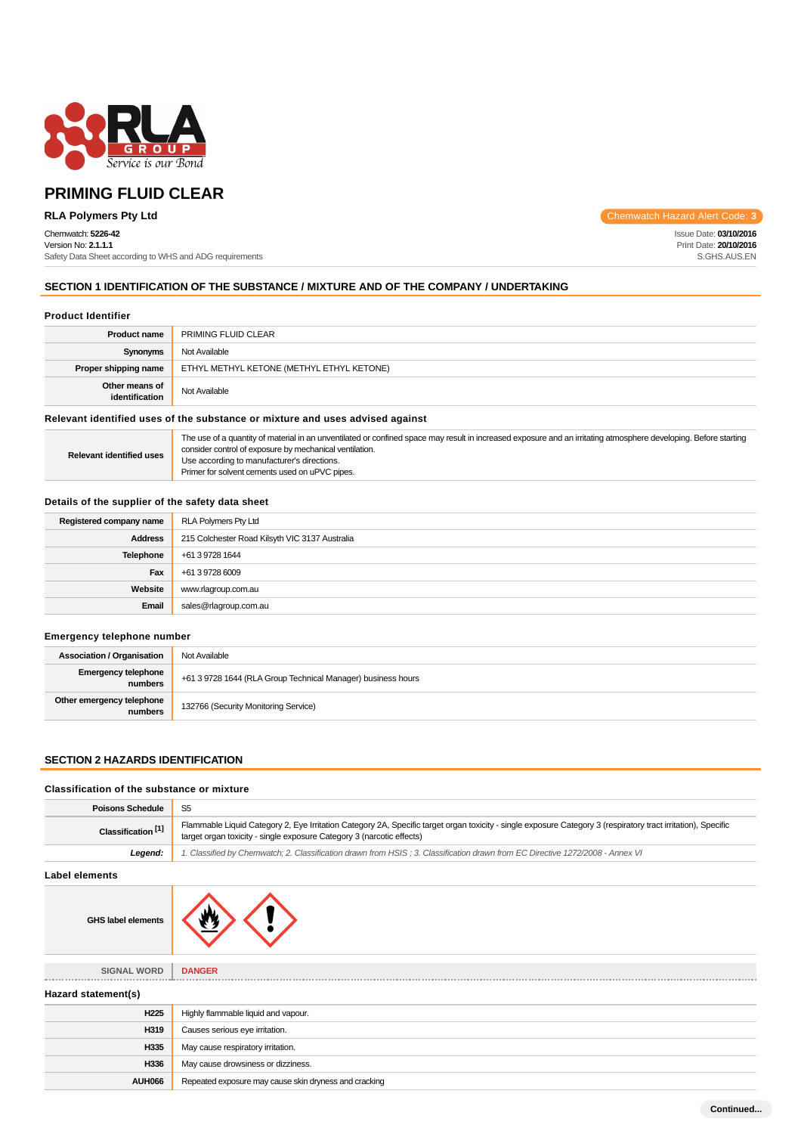

## Chemwatch: **5226-42**

Version No: **2.1.1.1** Safety Data Sheet according to WHS and ADG requirements

**RLA Polymers Pty Ltd** Chemwatch Hazard Alert Code: **3** 

Issue Date: **03/10/2016** Print Date: **20/10/2016** S.GHS.AUS.EN

## **SECTION 1 IDENTIFICATION OF THE SUBSTANCE / MIXTURE AND OF THE COMPANY / UNDERTAKING**

#### **Product Identifier**

| <b>Product name</b>                                                                                            | PRIMING FLUID CLEAR                       |
|----------------------------------------------------------------------------------------------------------------|-------------------------------------------|
| Synonyms                                                                                                       | Not Available                             |
| Proper shipping name                                                                                           | ETHYL METHYL KETONE (METHYL ETHYL KETONE) |
| Other means of<br>identification                                                                               | Not Available                             |
| Protocont identified community activities of a material control communication of the state of the state of the |                                           |

## **Relevant identified uses of the substance or mixture and uses advised against**

| <b>Relevant identified uses</b> | The use of a quantity of material in an unventilated or confined space may result in increased exposure and an irritating atmosphere developing. Before starting<br>consider control of exposure by mechanical ventilation.<br>Use according to manufacturer's directions.<br>Primer for solvent cements used on uPVC pipes. |
|---------------------------------|------------------------------------------------------------------------------------------------------------------------------------------------------------------------------------------------------------------------------------------------------------------------------------------------------------------------------|
|---------------------------------|------------------------------------------------------------------------------------------------------------------------------------------------------------------------------------------------------------------------------------------------------------------------------------------------------------------------------|

## **Details of the supplier of the safety data sheet**

| Registered company name | RLA Polymers Pty Ltd                           |
|-------------------------|------------------------------------------------|
| <b>Address</b>          | 215 Colchester Road Kilsyth VIC 3137 Australia |
| <b>Telephone</b>        | +61 3 9728 1644                                |
| Fax                     | +61 3 9728 6009                                |
| Website                 | www.rlagroup.com.au                            |
| Email                   | sales@rlagroup.com.au                          |

## **Emergency telephone number**

| <b>Association / Organisation</b>    | Not Available                                                |
|--------------------------------------|--------------------------------------------------------------|
| Emergency telephone<br>numbers       | +61 3 9728 1644 (RLA Group Technical Manager) business hours |
| Other emergency telephone<br>numbers | 132766 (Security Monitoring Service)                         |

## **SECTION 2 HAZARDS IDENTIFICATION**

## **Classification of the substance or mixture**

| <b>Poisons Schedule</b>       | S <sub>5</sub>                                                                                                                                                                                                                         |
|-------------------------------|----------------------------------------------------------------------------------------------------------------------------------------------------------------------------------------------------------------------------------------|
| Classification <sup>[1]</sup> | Flammable Liquid Category 2, Eye Irritation Category 2A, Specific target organ toxicity - single exposure Category 3 (respiratory tract irritation), Specific<br>target organ toxicity - single exposure Category 3 (narcotic effects) |
| Legend:                       | 1. Classified by Chemwatch; 2. Classification drawn from HSIS; 3. Classification drawn from EC Directive 1272/2008 - Annex VI                                                                                                          |
| <b>Label elements</b>         |                                                                                                                                                                                                                                        |
| <b>GHS label elements</b>     |                                                                                                                                                                                                                                        |
| <b>SIGNAL WORD</b>            | <b>DANGER</b>                                                                                                                                                                                                                          |
| Hazard statement(s)           |                                                                                                                                                                                                                                        |
| H <sub>225</sub>              | Highly flammable liquid and vapour.                                                                                                                                                                                                    |
| H319                          | Causes serious eye irritation.                                                                                                                                                                                                         |
| H335                          | May cause respiratory irritation.                                                                                                                                                                                                      |
| H336                          | May cause drowsiness or dizziness.                                                                                                                                                                                                     |
| <b>AUH066</b>                 | Repeated exposure may cause skin dryness and cracking                                                                                                                                                                                  |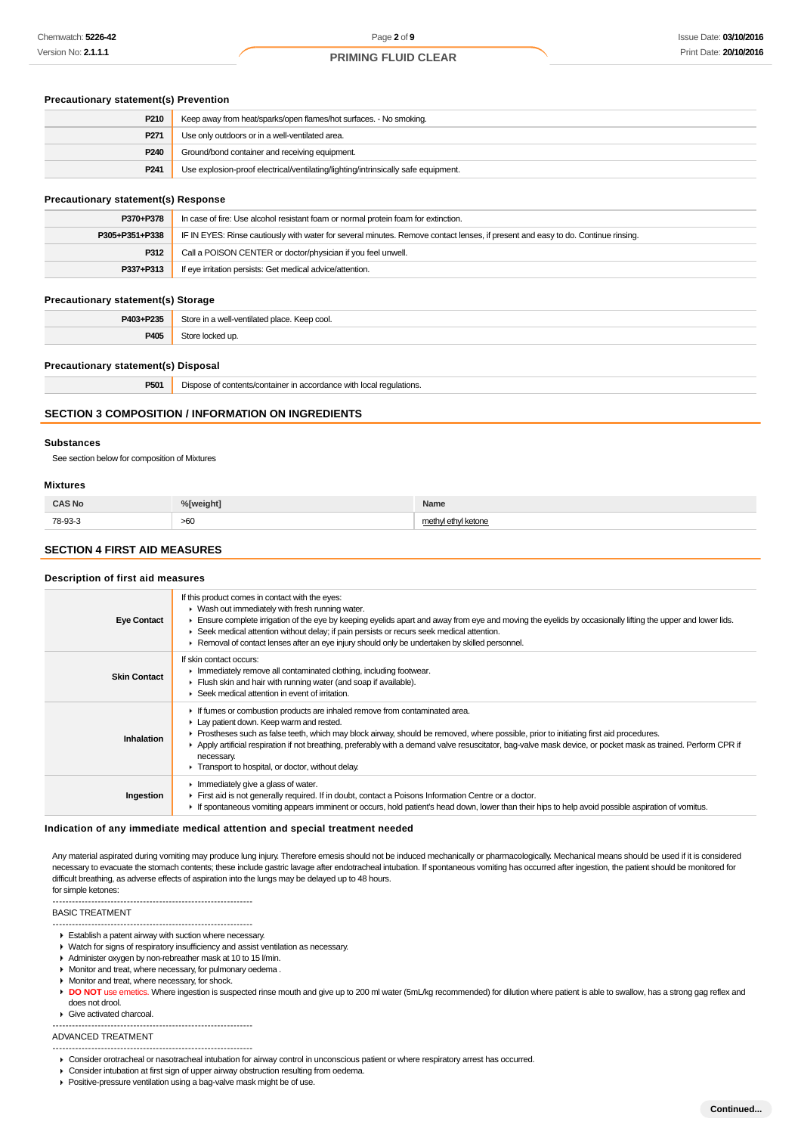## **Precautionary statement(s) Prevention**

| P210             | Keep away from heat/sparks/open flames/hot surfaces. - No smoking.                |
|------------------|-----------------------------------------------------------------------------------|
| P271             | Use only outdoors or in a well-ventilated area.                                   |
| P240             | Ground/bond container and receiving equipment.                                    |
| P <sub>241</sub> | Use explosion-proof electrical/ventilating/lighting/intrinsically safe equipment. |

#### **Precautionary statement(s) Response**

| P370+P378      | In case of fire: Use alcohol resistant foam or normal protein foam for extinction.                                               |
|----------------|----------------------------------------------------------------------------------------------------------------------------------|
| P305+P351+P338 | IF IN EYES: Rinse cautiously with water for several minutes. Remove contact lenses, if present and easy to do. Continue rinsing. |
| P312           | Call a POISON CENTER or doctor/physician if you feel unwell.                                                                     |
| P337+P313      | If eye irritation persists: Get medical advice/attention.                                                                        |

#### **Precautionary statement(s) Storage**

| P405 |  |
|------|--|

## **Precautionary statement(s) Disposal**

| DE04<br>ou n | regulations<br>uents/com<br>me in accordance with<br>a Jism<br>ntainei<br>. لما |
|--------------|---------------------------------------------------------------------------------|
|              |                                                                                 |

## **SECTION 3 COMPOSITION / INFORMATION ON INGREDIENTS**

#### **Substances**

See section below for composition of Mixtures

#### **Mixtures**

| <b>CAS No</b> | %[weight] | Name                            |
|---------------|-----------|---------------------------------|
| 78-93-3       | >60       | moth<br>d kotone<br><b>NGWH</b> |

## **SECTION 4 FIRST AID MEASURES**

#### **Description of first aid measures**

| <b>Eye Contact</b>  | If this product comes in contact with the eyes:<br>$\blacktriangleright$ Wash out immediately with fresh running water.<br>Ensure complete irrigation of the eye by keeping eyelids apart and away from eye and moving the eyelids by occasionally lifting the upper and lower lids.<br>► Seek medical attention without delay; if pain persists or recurs seek medical attention.<br>► Removal of contact lenses after an eye injury should only be undertaken by skilled personnel.             |
|---------------------|---------------------------------------------------------------------------------------------------------------------------------------------------------------------------------------------------------------------------------------------------------------------------------------------------------------------------------------------------------------------------------------------------------------------------------------------------------------------------------------------------|
| <b>Skin Contact</b> | If skin contact occurs:<br>In mediately remove all contaminated clothing, including footwear.<br>Flush skin and hair with running water (and soap if available).<br>$\blacktriangleright$ Seek medical attention in event of irritation.                                                                                                                                                                                                                                                          |
| Inhalation          | If fumes or combustion products are inhaled remove from contaminated area.<br>Lay patient down. Keep warm and rested.<br>► Prostheses such as false teeth, which may block airway, should be removed, where possible, prior to initiating first aid procedures.<br>Apply artificial respiration if not breathing, preferably with a demand valve resuscitator, bag-valve mask device, or pocket mask as trained. Perform CPR if<br>necessary.<br>Transport to hospital, or doctor, without delay. |
| Ingestion           | $\blacktriangleright$ Immediately give a glass of water.<br>First aid is not generally required. If in doubt, contact a Poisons Information Centre or a doctor.<br>If spontaneous vomiting appears imminent or occurs, hold patient's head down, lower than their hips to help avoid possible aspiration of vomitus.                                                                                                                                                                              |

#### **Indication of any immediate medical attention and special treatment needed**

Any material aspirated during vomiting may produce lung injury. Therefore emesis should not be induced mechanically or pharmacologically. Mechanical means should be used if it is considered necessary to evacuate the stomach contents; these include gastric lavage after endotracheal intubation. If spontaneous vomiting has occurred after ingestion, the patient should be monitored for difficult breathing, as adverse effects of aspiration into the lungs may be delayed up to 48 hours. for simple ketones:

#### BASIC TREATMENT

- -------------------------------------------------------------- Establish a patent airway with suction where necessary.
- ▶ Watch for signs of respiratory insufficiency and assist ventilation as necessary.
- 
- Administer oxygen by non-rebreather mask at 10 to 15 l/min.

--------------------------------------------------------------

- Monitor and treat, where necessary, for pulmonary oedema . **Monitor and treat, where necessary, for shock.**
- 
- DO NOT use emetics. Where ingestion is suspected rinse mouth and give up to 200 ml water (5mL/kg recommended) for dilution where patient is able to swallow, has a strong gag reflex and does not drool.

#### Give activated charcoal. --------------------------------------------------------------

ADVANCED TREATMENT

- -------------------------------------------------------------- Consider orotracheal or nasotracheal intubation for airway control in unconscious patient or where respiratory arrest has occurred.
- Consider intubation at first sign of upper airway obstruction resulting from oedema.
- Positive-pressure ventilation using a bag-valve mask might be of use.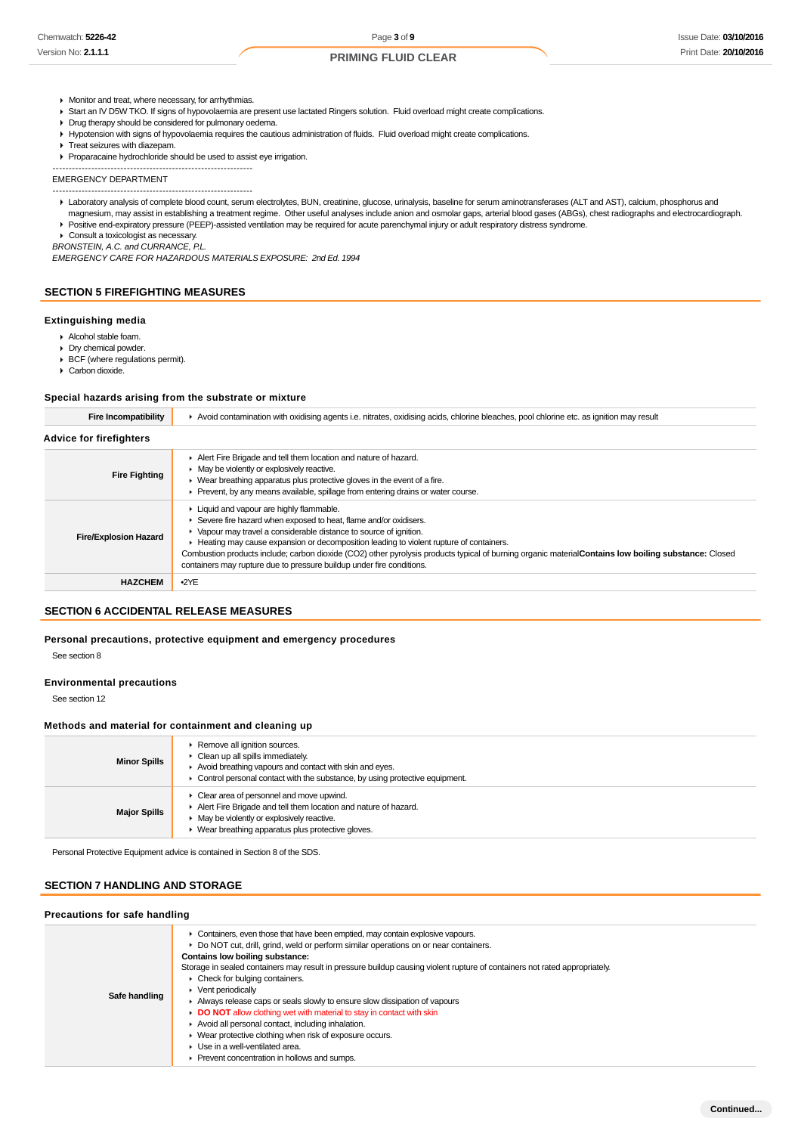- **Monitor and treat, where necessary, for arrhythmias.**
- ▶ Start an IV D5W TKO. If signs of hypovolaemia are present use lactated Ringers solution. Fluid overload might create complications.
- **Drug therapy should be considered for pulmonary oedema.**
- Hypotension with signs of hypovolaemia requires the cautious administration of fluids. Fluid overload might create complications.
- Treat seizures with diazepam.
- Proparacaine hydrochloride should be used to assist eye irrigation.
- --------------------------------------------------------------

EMERGENCY DEPARTMENT --------------------------------------------------------------

- Laboratory analysis of complete blood count, serum electrolytes, BUN, creatinine, glucose, urinalysis, baseline for serum aminotransferases (ALT and AST), calcium, phosphorus and magnesium, may assist in establishing a treatment regime. Other useful analyses include anion and osmolar gaps, arterial blood gases (ABGs), chest radiographs and electrocardiograph.
- Positive end-expiratory pressure (PEEP)-assisted ventilation may be required for acute parenchymal injury or adult respiratory distress syndrome.
- ▶ Consult a toxicologist as necessary

BRONSTEIN, A.C. and CURRANCE, P.L.

EMERGENCY CARE FOR HAZARDOUS MATERIALS EXPOSURE: 2nd Ed. 1994

## **SECTION 5 FIREFIGHTING MEASURES**

#### **Extinguishing media**

- Alcohol stable foam.
- Dry chemical powder.
- BCF (where regulations permit).
- Carbon dioxide.

#### **Special hazards arising from the substrate or mixture**

| Fire Incompatibility           | ► Avoid contamination with oxidising agents i.e. nitrates, oxidising acids, chlorine bleaches, pool chlorine etc. as ignition may result                                                                                                                                                                                                                                                                                                                                                                      |
|--------------------------------|---------------------------------------------------------------------------------------------------------------------------------------------------------------------------------------------------------------------------------------------------------------------------------------------------------------------------------------------------------------------------------------------------------------------------------------------------------------------------------------------------------------|
| <b>Advice for firefighters</b> |                                                                                                                                                                                                                                                                                                                                                                                                                                                                                                               |
| <b>Fire Fighting</b>           | Alert Fire Brigade and tell them location and nature of hazard.<br>• May be violently or explosively reactive.<br>► Wear breathing apparatus plus protective gloves in the event of a fire.<br>Prevent, by any means available, spillage from entering drains or water course.                                                                                                                                                                                                                                |
| <b>Fire/Explosion Hazard</b>   | Liquid and vapour are highly flammable.<br>Severe fire hazard when exposed to heat, flame and/or oxidisers.<br>• Vapour may travel a considerable distance to source of ignition.<br>Heating may cause expansion or decomposition leading to violent rupture of containers.<br>Combustion products include; carbon dioxide (CO2) other pyrolysis products typical of burning organic material Contains low boiling substance: Closed<br>containers may rupture due to pressure buildup under fire conditions. |
| <b>HAZCHEM</b>                 | $-2YE$                                                                                                                                                                                                                                                                                                                                                                                                                                                                                                        |

## **SECTION 6 ACCIDENTAL RELEASE MEASURES**

## **Personal precautions, protective equipment and emergency procedures**

See section 8

#### **Environmental precautions**

See section 12

#### **Methods and material for containment and cleaning up**

| <b>Minor Spills</b> | Remove all ignition sources.<br>Clean up all spills immediately.<br>Avoid breathing vapours and contact with skin and eyes.<br>Control personal contact with the substance, by using protective equipment.     |
|---------------------|----------------------------------------------------------------------------------------------------------------------------------------------------------------------------------------------------------------|
| <b>Major Spills</b> | Clear area of personnel and move upwind.<br>Alert Fire Brigade and tell them location and nature of hazard.<br>• May be violently or explosively reactive.<br>Wear breathing apparatus plus protective gloves. |

Personal Protective Equipment advice is contained in Section 8 of the SDS.

### **SECTION 7 HANDLING AND STORAGE**

#### **Precautions for safe handling**

| Safe handling | Containers, even those that have been emptied, may contain explosive vapours.<br>Do NOT cut, drill, grind, weld or perform similar operations on or near containers.<br>Contains low boiling substance:<br>Storage in sealed containers may result in pressure buildup causing violent rupture of containers not rated appropriately.<br>$\triangleright$ Check for bulging containers.<br>Vent periodically<br>Always release caps or seals slowly to ensure slow dissipation of vapours<br>DO NOT allow clothing wet with material to stay in contact with skin<br>Avoid all personal contact, including inhalation.<br>▶ Wear protective clothing when risk of exposure occurs.<br>Use in a well-ventilated area.<br>Prevent concentration in hollows and sumps. |  |  |  |
|---------------|---------------------------------------------------------------------------------------------------------------------------------------------------------------------------------------------------------------------------------------------------------------------------------------------------------------------------------------------------------------------------------------------------------------------------------------------------------------------------------------------------------------------------------------------------------------------------------------------------------------------------------------------------------------------------------------------------------------------------------------------------------------------|--|--|--|
|               |                                                                                                                                                                                                                                                                                                                                                                                                                                                                                                                                                                                                                                                                                                                                                                     |  |  |  |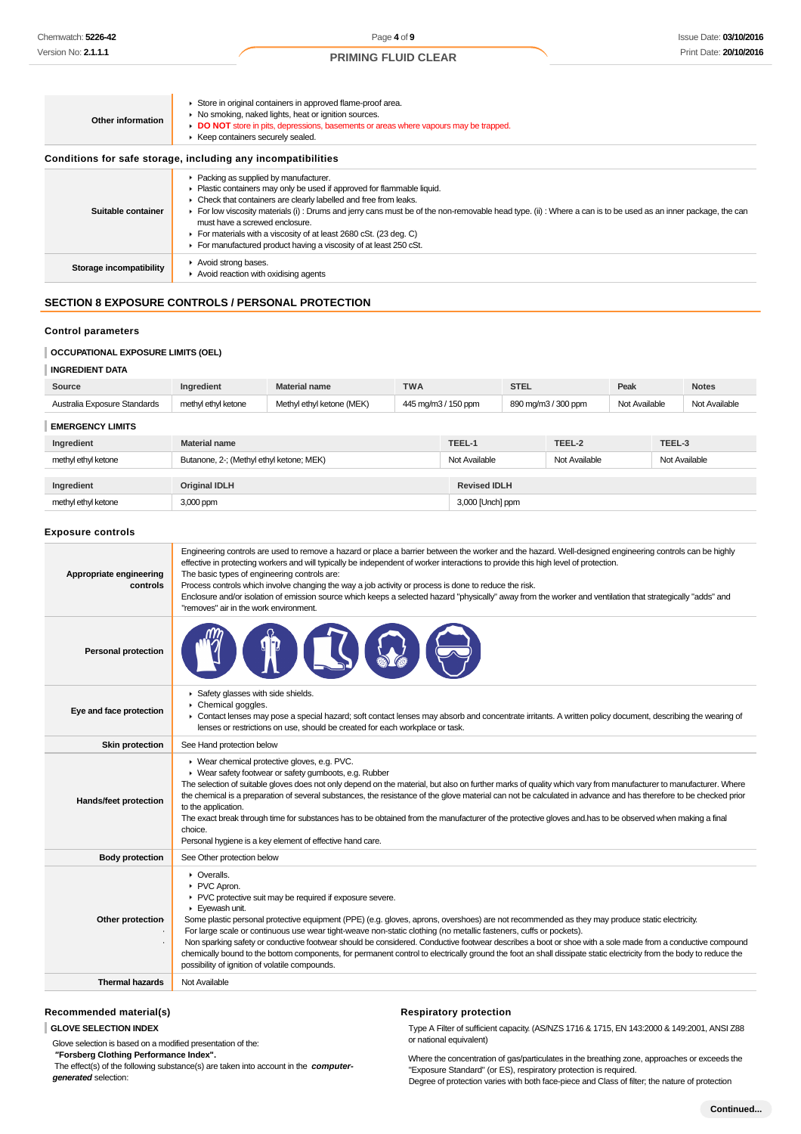| Other information       | Store in original containers in approved flame-proof area.<br>▶ No smoking, naked lights, heat or ignition sources.<br>DO NOT store in pits, depressions, basements or areas where vapours may be trapped.<br>▶ Keep containers securely sealed.<br>Conditions for safe storage, including any incompatibilities |
|-------------------------|------------------------------------------------------------------------------------------------------------------------------------------------------------------------------------------------------------------------------------------------------------------------------------------------------------------|
|                         | ▶ Packing as supplied by manufacturer.                                                                                                                                                                                                                                                                           |
|                         | • Plastic containers may only be used if approved for flammable liquid.                                                                                                                                                                                                                                          |
|                         | • Check that containers are clearly labelled and free from leaks.                                                                                                                                                                                                                                                |
| Suitable container      | For low viscosity materials (i) : Drums and jerry cans must be of the non-removable head type. (ii) : Where a can is to be used as an inner package, the can                                                                                                                                                     |
|                         | must have a screwed enclosure.<br>For materials with a viscosity of at least 2680 cSt. (23 deg. C)                                                                                                                                                                                                               |
|                         | For manufactured product having a viscosity of at least 250 cSt.                                                                                                                                                                                                                                                 |
|                         | Avoid strong bases.                                                                                                                                                                                                                                                                                              |
| Storage incompatibility | $\blacktriangleright$ Avoid reaction with oxidising agents                                                                                                                                                                                                                                                       |

## **SECTION 8 EXPOSURE CONTROLS / PERSONAL PROTECTION**

## **Control parameters**

## **OCCUPATIONAL EXPOSURE LIMITS (OEL)**

| <b>INGREDIENT DATA</b>       |                                          |                           |                     |                     |                     |               |               |        |               |
|------------------------------|------------------------------------------|---------------------------|---------------------|---------------------|---------------------|---------------|---------------|--------|---------------|
| Source                       | Ingredient                               | <b>Material name</b>      | <b>TWA</b>          |                     | <b>STEL</b>         |               | Peak          |        | <b>Notes</b>  |
| Australia Exposure Standards | methyl ethyl ketone                      | Methyl ethyl ketone (MEK) | 445 mg/m3 / 150 ppm |                     | 890 mg/m3 / 300 ppm |               | Not Available |        | Not Available |
| <b>EMERGENCY LIMITS</b>      |                                          |                           |                     |                     |                     |               |               |        |               |
| Ingredient                   | <b>Material name</b>                     |                           |                     | TEEL-1              |                     | TEEL-2        |               | TEEL-3 |               |
| methyl ethyl ketone          | Butanone, 2-; (Methyl ethyl ketone; MEK) |                           | Not Available       | Not Available       |                     | Not Available |               |        |               |
|                              |                                          |                           |                     |                     |                     |               |               |        |               |
| Ingredient                   | <b>Original IDLH</b>                     |                           |                     | <b>Revised IDLH</b> |                     |               |               |        |               |
| methyl ethyl ketone          | 3,000 ppm                                |                           |                     | 3,000 [Unch] ppm    |                     |               |               |        |               |

#### **Exposure controls**

| Appropriate engineering<br>controls | Engineering controls are used to remove a hazard or place a barrier between the worker and the hazard. Well-designed engineering controls can be highly<br>effective in protecting workers and will typically be independent of worker interactions to provide this high level of protection.<br>The basic types of engineering controls are:<br>Process controls which involve changing the way a job activity or process is done to reduce the risk.<br>Enclosure and/or isolation of emission source which keeps a selected hazard "physically" away from the worker and ventilation that strategically "adds" and<br>"removes" air in the work environment.                                                                                                    |
|-------------------------------------|--------------------------------------------------------------------------------------------------------------------------------------------------------------------------------------------------------------------------------------------------------------------------------------------------------------------------------------------------------------------------------------------------------------------------------------------------------------------------------------------------------------------------------------------------------------------------------------------------------------------------------------------------------------------------------------------------------------------------------------------------------------------|
| <b>Personal protection</b>          |                                                                                                                                                                                                                                                                                                                                                                                                                                                                                                                                                                                                                                                                                                                                                                    |
| Eye and face protection             | Safety glasses with side shields.<br>▶ Chemical goggles.<br>• Contact lenses may pose a special hazard; soft contact lenses may absorb and concentrate irritants. A written policy document, describing the wearing of<br>lenses or restrictions on use, should be created for each workplace or task.                                                                                                                                                                                                                                                                                                                                                                                                                                                             |
| <b>Skin protection</b>              | See Hand protection below                                                                                                                                                                                                                                                                                                                                                                                                                                                                                                                                                                                                                                                                                                                                          |
| Hands/feet protection               | ▶ Wear chemical protective gloves, e.g. PVC.<br>▶ Wear safety footwear or safety gumboots, e.g. Rubber<br>The selection of suitable gloves does not only depend on the material, but also on further marks of quality which vary from manufacturer to manufacturer. Where<br>the chemical is a preparation of several substances, the resistance of the glove material can not be calculated in advance and has therefore to be checked prior<br>to the application.<br>The exact break through time for substances has to be obtained from the manufacturer of the protective gloves and has to be observed when making a final<br>choice.<br>Personal hygiene is a key element of effective hand care.                                                           |
| <b>Body protection</b>              | See Other protection below                                                                                                                                                                                                                                                                                                                                                                                                                                                                                                                                                                                                                                                                                                                                         |
| Other protection-                   | • Overalls.<br>▶ PVC Apron.<br>PVC protective suit may be required if exposure severe.<br>Evewash unit.<br>Some plastic personal protective equipment (PPE) (e.g. gloves, aprons, overshoes) are not recommended as they may produce static electricity.<br>For large scale or continuous use wear tight-weave non-static clothing (no metallic fasteners, cuffs or pockets).<br>Non sparking safety or conductive footwear should be considered. Conductive footwear describes a boot or shoe with a sole made from a conductive compound<br>chemically bound to the bottom components, for permanent control to electrically ground the foot an shall dissipate static electricity from the body to reduce the<br>possibility of ignition of volatile compounds. |
| <b>Thermal hazards</b>              | Not Available                                                                                                                                                                                                                                                                                                                                                                                                                                                                                                                                                                                                                                                                                                                                                      |
|                                     |                                                                                                                                                                                                                                                                                                                                                                                                                                                                                                                                                                                                                                                                                                                                                                    |

## **Recommended material(s)**

**GLOVE SELECTION INDEX**

Glove selection is based on a modified presentation of the:

 **"Forsberg Clothing Performance Index".** The effect(s) of the following substance(s) are taken into account in the **computer-**

**generated** selection:

## **Respiratory protection**

Type A Filter of sufficient capacity. (AS/NZS 1716 & 1715, EN 143:2000 & 149:2001, ANSI Z88 or national equivalent)

Where the concentration of gas/particulates in the breathing zone, approaches or exceeds the "Exposure Standard" (or ES), respiratory protection is required. Degree of protection varies with both face-piece and Class of filter; the nature of protection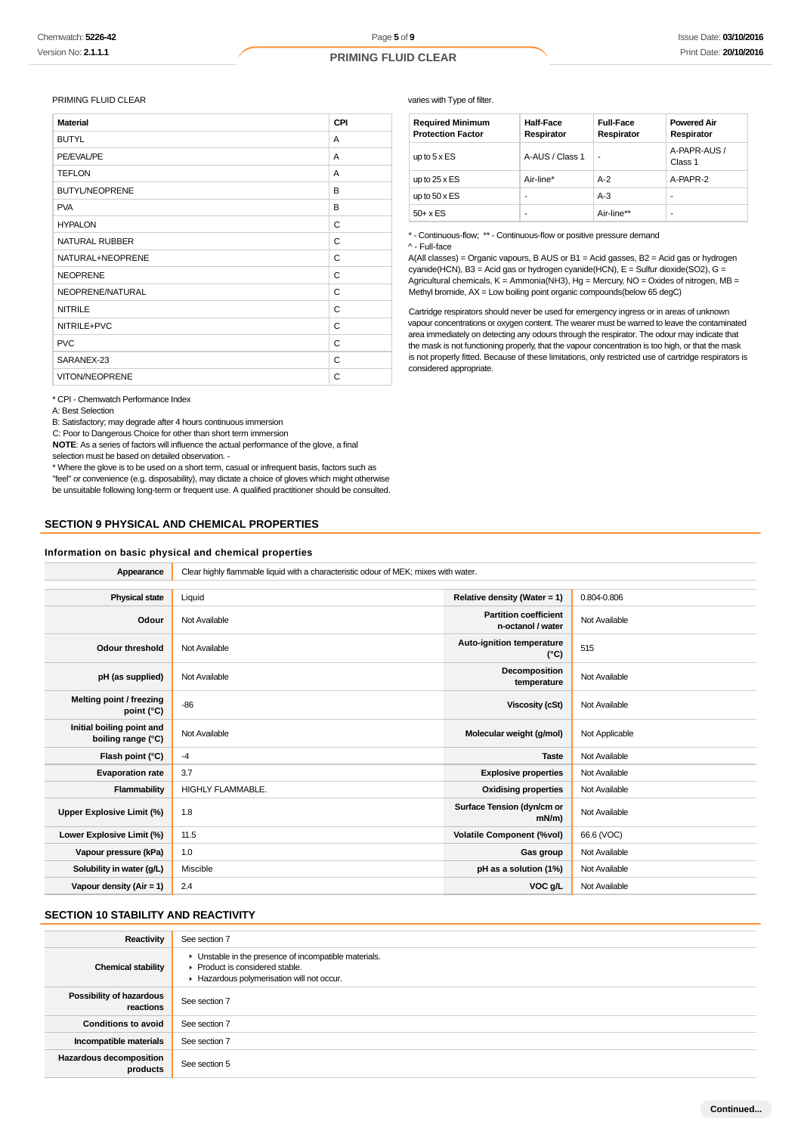#### PRIMING FLUID CLEAR

| <b>Material</b>       | CPI |
|-----------------------|-----|
| <b>BUTYL</b>          | A   |
| PE/EVAL/PE            | A   |
| <b>TEFLON</b>         | A   |
| <b>BUTYL/NEOPRENE</b> | B   |
| <b>PVA</b>            | B   |
| <b>HYPALON</b>        | C   |
| <b>NATURAL RUBBER</b> | C   |
| NATURAL+NEOPRENE      | C   |
| <b>NEOPRENE</b>       | C   |
| NEOPRENE/NATURAL      | C   |
| <b>NITRILE</b>        | C   |
| NITRILE+PVC           | C   |
| <b>PVC</b>            | C   |
| SARANEX-23            | C   |
| <b>VITON/NEOPRENE</b> | C   |

\* CPI - Chemwatch Performance Index

A: Best Selection

B: Satisfactory; may degrade after 4 hours continuous immersion

C: Poor to Dangerous Choice for other than short term immersion

**NOTE**: As a series of factors will influence the actual performance of the glove, a final selection must be based on detailed observation. -

\* Where the glove is to be used on a short term, casual or infrequent basis, factors such as "feel" or convenience (e.g. disposability), may dictate a choice of gloves which might otherwise be unsuitable following long-term or frequent use. A qualified practitioner should be consulted.

## **SECTION 9 PHYSICAL AND CHEMICAL PROPERTIES**

#### **Information on basic physical and chemical properties**

varies with Type of filter.

| <b>Required Minimum</b><br><b>Protection Factor</b> | <b>Half-Face</b><br>Respirator | <b>Full-Face</b><br>Respirator | <b>Powered Air</b><br>Respirator |
|-----------------------------------------------------|--------------------------------|--------------------------------|----------------------------------|
| up to $5 \times ES$                                 | A-AUS / Class 1                | ۰                              | A-PAPR-AUS /<br>Class 1          |
| up to $25 \times ES$                                | Air-line*                      | $A-2$                          | A-PAPR-2                         |
| up to $50 \times ES$                                |                                | $A-3$                          | ۰                                |
| $50+ x ES$                                          |                                | Air-line**                     | ۰                                |

\* - Continuous-flow; \*\* - Continuous-flow or positive pressure demand ^ - Full-face

A(All classes) = Organic vapours, B AUS or B1 = Acid gasses, B2 = Acid gas or hydrogen cyanide(HCN), B3 = Acid gas or hydrogen cyanide(HCN), E = Sulfur dioxide(SO2), G = Agricultural chemicals, K = Ammonia(NH3), Hg = Mercury, NO = Oxides of nitrogen, MB = Methyl bromide, AX = Low boiling point organic compounds(below 65 degC)

Cartridge respirators should never be used for emergency ingress or in areas of unknown vapour concentrations or oxygen content. The wearer must be warned to leave the contaminated area immediately on detecting any odours through the respirator. The odour may indicate that the mask is not functioning properly, that the vapour concentration is too high, or that the mask is not properly fitted. Because of these limitations, only restricted use of cartridge respirators is considered appropriate.

| Appearance                                      | Clear highly flammable liquid with a characteristic odour of MEK; mixes with water. |                                                   |                |  |  |
|-------------------------------------------------|-------------------------------------------------------------------------------------|---------------------------------------------------|----------------|--|--|
|                                                 |                                                                                     |                                                   |                |  |  |
| <b>Physical state</b>                           | Liquid                                                                              | Relative density (Water = 1)                      | 0.804-0.806    |  |  |
| Odour                                           | Not Available                                                                       | <b>Partition coefficient</b><br>n-octanol / water | Not Available  |  |  |
| <b>Odour threshold</b>                          | Not Available                                                                       | Auto-ignition temperature<br>(°C)                 | 515            |  |  |
| pH (as supplied)                                | Not Available                                                                       | Decomposition<br>temperature                      | Not Available  |  |  |
| Melting point / freezing<br>point (°C)          | $-86$                                                                               | <b>Viscosity (cSt)</b>                            | Not Available  |  |  |
| Initial boiling point and<br>boiling range (°C) | Not Available                                                                       | Molecular weight (g/mol)                          | Not Applicable |  |  |
| Flash point (°C)                                | $-4$                                                                                | <b>Taste</b>                                      | Not Available  |  |  |
| <b>Evaporation rate</b>                         | 3.7                                                                                 | <b>Explosive properties</b>                       | Not Available  |  |  |
| Flammability                                    | <b>HIGHLY FLAMMABLE.</b>                                                            | <b>Oxidising properties</b>                       | Not Available  |  |  |
| Upper Explosive Limit (%)                       | 1.8                                                                                 | Surface Tension (dyn/cm or<br>$mN/m$ )            | Not Available  |  |  |
| Lower Explosive Limit (%)                       | 11.5                                                                                | <b>Volatile Component (%vol)</b>                  | 66.6 (VOC)     |  |  |
| Vapour pressure (kPa)                           | 1.0                                                                                 | Gas group                                         | Not Available  |  |  |
| Solubility in water (g/L)                       | Miscible                                                                            | pH as a solution (1%)                             | Not Available  |  |  |
| Vapour density (Air = $1$ )                     | 2.4                                                                                 | VOC g/L                                           | Not Available  |  |  |

## **SECTION 10 STABILITY AND REACTIVITY**

| Reactivity                            | See section 7                                                                                                                        |
|---------------------------------------|--------------------------------------------------------------------------------------------------------------------------------------|
| <b>Chemical stability</b>             | • Unstable in the presence of incompatible materials.<br>▶ Product is considered stable.<br>Hazardous polymerisation will not occur. |
| Possibility of hazardous<br>reactions | See section 7                                                                                                                        |
| <b>Conditions to avoid</b>            | See section 7                                                                                                                        |
| Incompatible materials                | See section 7                                                                                                                        |
| Hazardous decomposition<br>products   | See section 5                                                                                                                        |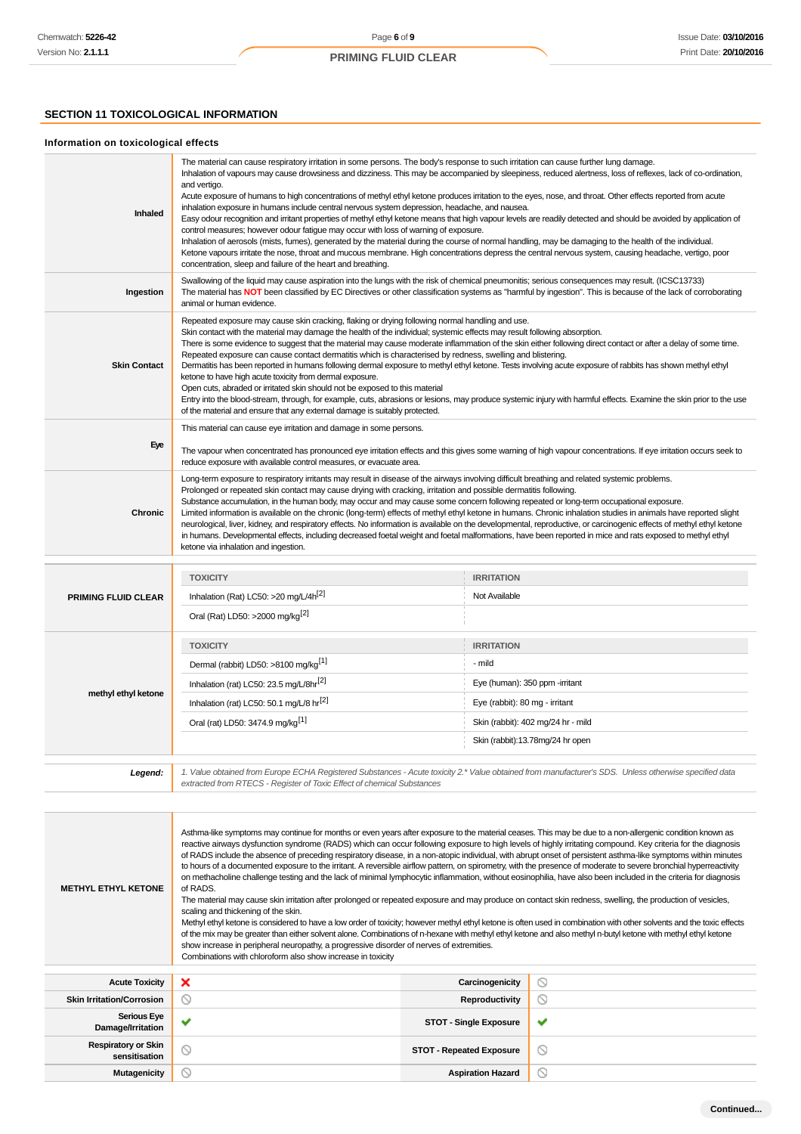## **SECTION 11 TOXICOLOGICAL INFORMATION**

ī

## **Information on toxicological effects**

| Inhaled             | The material can cause respiratory irritation in some persons. The body's response to such irritation can cause further lung damage.<br>Inhalation of vapours may cause drowsiness and dizziness. This may be accompanied by sleepiness, reduced alertness, loss of reflexes, lack of co-ordination,<br>and vertigo.<br>Acute exposure of humans to high concentrations of methyl ethyl ketone produces irritation to the eyes, nose, and throat. Other effects reported from acute<br>inhalation exposure in humans include central nervous system depression, headache, and nausea.<br>Easy odour recognition and irritant properties of methyl ethyl ketone means that high vapour levels are readily detected and should be avoided by application of<br>control measures; however odour fatigue may occur with loss of warning of exposure.<br>Inhalation of aerosols (mists, fumes), generated by the material during the course of normal handling, may be damaging to the health of the individual.<br>Ketone vapours irritate the nose, throat and mucous membrane. High concentrations depress the central nervous system, causing headache, vertigo, poor<br>concentration, sleep and failure of the heart and breathing. |
|---------------------|--------------------------------------------------------------------------------------------------------------------------------------------------------------------------------------------------------------------------------------------------------------------------------------------------------------------------------------------------------------------------------------------------------------------------------------------------------------------------------------------------------------------------------------------------------------------------------------------------------------------------------------------------------------------------------------------------------------------------------------------------------------------------------------------------------------------------------------------------------------------------------------------------------------------------------------------------------------------------------------------------------------------------------------------------------------------------------------------------------------------------------------------------------------------------------------------------------------------------------------|
| Ingestion           | Swallowing of the liquid may cause aspiration into the lungs with the risk of chemical pneumonitis; serious consequences may result. (ICSC13733)<br>The material has NOT been classified by EC Directives or other classification systems as "harmful by ingestion". This is because of the lack of corroborating<br>animal or human evidence.                                                                                                                                                                                                                                                                                                                                                                                                                                                                                                                                                                                                                                                                                                                                                                                                                                                                                       |
| <b>Skin Contact</b> | Repeated exposure may cause skin cracking, flaking or drying following normal handling and use.<br>Skin contact with the material may damage the health of the individual; systemic effects may result following absorption.<br>There is some evidence to suggest that the material may cause moderate inflammation of the skin either following direct contact or after a delay of some time.<br>Repeated exposure can cause contact dermatitis which is characterised by redness, swelling and blistering.<br>Dermatitis has been reported in humans following dermal exposure to methyl ethyl ketone. Tests involving acute exposure of rabbits has shown methyl ethyl<br>ketone to have high acute toxicity from dermal exposure.<br>Open cuts, abraded or irritated skin should not be exposed to this material<br>Entry into the blood-stream, through, for example, cuts, abrasions or lesions, may produce systemic injury with harmful effects. Examine the skin prior to the use<br>of the material and ensure that any external damage is suitably protected.                                                                                                                                                             |
| Eye                 | This material can cause eye irritation and damage in some persons.<br>The vapour when concentrated has pronounced eye irritation effects and this gives some warning of high vapour concentrations. If eye irritation occurs seek to<br>reduce exposure with available control measures, or evacuate area.                                                                                                                                                                                                                                                                                                                                                                                                                                                                                                                                                                                                                                                                                                                                                                                                                                                                                                                           |
| <b>Chronic</b>      | Long-term exposure to respiratory irritants may result in disease of the airways involving difficult breathing and related systemic problems.<br>Prolonged or repeated skin contact may cause drying with cracking, irritation and possible dermatitis following.<br>Substance accumulation, in the human body, may occur and may cause some concern following repeated or long-term occupational exposure.<br>Limited information is available on the chronic (long-term) effects of methyl ethyl ketone in humans. Chronic inhalation studies in animals have reported slight<br>neurological, liver, kidney, and respiratory effects. No information is available on the developmental, reproductive, or carcinogenic effects of methyl ethyl ketone<br>in humans. Developmental effects, including decreased foetal weight and foetal malformations, have been reported in mice and rats exposed to methyl ethyl<br>ketone via inhalation and ingestion.                                                                                                                                                                                                                                                                         |
|                     | <b>IRRITATION</b><br><b>TOXICITY</b>                                                                                                                                                                                                                                                                                                                                                                                                                                                                                                                                                                                                                                                                                                                                                                                                                                                                                                                                                                                                                                                                                                                                                                                                 |

|                            | <b>TOXICITY</b>                                      | <b>IRRITATION</b>                  |  |
|----------------------------|------------------------------------------------------|------------------------------------|--|
| <b>PRIMING FLUID CLEAR</b> | Inhalation (Rat) LC50: >20 mg/L/4 $h^{[2]}$          | Not Available                      |  |
| methyl ethyl ketone        | Oral (Rat) LD50: >2000 mg/kg <sup>[2]</sup>          |                                    |  |
|                            | <b>TOXICITY</b>                                      | <b>IRRITATION</b>                  |  |
|                            | Dermal (rabbit) LD50: >8100 mg/kg <sup>[1]</sup>     | - mild                             |  |
|                            | Inhalation (rat) LC50: 23.5 mg/L/8hr <sup>[2]</sup>  | Eye (human): 350 ppm -irritant     |  |
|                            | Inhalation (rat) LC50: 50.1 mg/L/8 hr <sup>[2]</sup> | Eye (rabbit): 80 mg - irritant     |  |
|                            | Oral (rat) LD50: 3474.9 mg/kg <sup>[1]</sup>         | Skin (rabbit): 402 mg/24 hr - mild |  |
|                            |                                                      | Skin (rabbit):13.78mg/24 hr open   |  |
|                            |                                                      |                                    |  |

1. Value obtained from Europe ECHA Registered Substances - Acute toxicity 2.\* Value obtained from manufacturer's SDS. Unless otherwise specified data<br>extracted from RTECS - Register of Toxic Effect of chemical Substances

| <b>METHYL ETHYL KETONE</b>                  | Asthma-like symptoms may continue for months or even years after exposure to the material ceases. This may be due to a non-allergenic condition known as<br>reactive airways dysfunction syndrome (RADS) which can occur following exposure to high levels of highly irritating compound. Key criteria for the diagnosis<br>of RADS include the absence of preceding respiratory disease, in a non-atopic individual, with abrupt onset of persistent asthma-like symptoms within minutes<br>to hours of a documented exposure to the irritant. A reversible airflow pattern, on spirometry, with the presence of moderate to severe bronchial hyperreactivity<br>on methacholine challenge testing and the lack of minimal lymphocytic inflammation, without eosinophilia, have also been included in the criteria for diagnosis<br>of RADS.<br>The material may cause skin irritation after prolonged or repeated exposure and may produce on contact skin redness, swelling, the production of vesicles,<br>scaling and thickening of the skin.<br>Methyl ethyl ketone is considered to have a low order of toxicity; however methyl ethyl ketone is often used in combination with other solvents and the toxic effects<br>of the mix may be greater than either solvent alone. Combinations of n-hexane with methyl ethyl ketone and also methyl n-butyl ketone with methyl ethyl ketone<br>show increase in peripheral neuropathy, a progressive disorder of nerves of extremities.<br>Combinations with chloroform also show increase in toxicity |                                 |                |  |  |
|---------------------------------------------|----------------------------------------------------------------------------------------------------------------------------------------------------------------------------------------------------------------------------------------------------------------------------------------------------------------------------------------------------------------------------------------------------------------------------------------------------------------------------------------------------------------------------------------------------------------------------------------------------------------------------------------------------------------------------------------------------------------------------------------------------------------------------------------------------------------------------------------------------------------------------------------------------------------------------------------------------------------------------------------------------------------------------------------------------------------------------------------------------------------------------------------------------------------------------------------------------------------------------------------------------------------------------------------------------------------------------------------------------------------------------------------------------------------------------------------------------------------------------------------------------------------------------------------------------------|---------------------------------|----------------|--|--|
| <b>Acute Toxicity</b>                       | ×                                                                                                                                                                                                                                                                                                                                                                                                                                                                                                                                                                                                                                                                                                                                                                                                                                                                                                                                                                                                                                                                                                                                                                                                                                                                                                                                                                                                                                                                                                                                                        | Carcinogenicity                 | ◎              |  |  |
| <b>Skin Irritation/Corrosion</b>            | N                                                                                                                                                                                                                                                                                                                                                                                                                                                                                                                                                                                                                                                                                                                                                                                                                                                                                                                                                                                                                                                                                                                                                                                                                                                                                                                                                                                                                                                                                                                                                        | Reproductivity                  | O              |  |  |
| <b>Serious Eye</b><br>Damage/Irritation     |                                                                                                                                                                                                                                                                                                                                                                                                                                                                                                                                                                                                                                                                                                                                                                                                                                                                                                                                                                                                                                                                                                                                                                                                                                                                                                                                                                                                                                                                                                                                                          | <b>STOT - Single Exposure</b>   | ✔              |  |  |
| <b>Respiratory or Skin</b><br>sensitisation | ல                                                                                                                                                                                                                                                                                                                                                                                                                                                                                                                                                                                                                                                                                                                                                                                                                                                                                                                                                                                                                                                                                                                                                                                                                                                                                                                                                                                                                                                                                                                                                        | <b>STOT - Repeated Exposure</b> | $\circledcirc$ |  |  |
| <b>Mutagenicity</b>                         | ∾                                                                                                                                                                                                                                                                                                                                                                                                                                                                                                                                                                                                                                                                                                                                                                                                                                                                                                                                                                                                                                                                                                                                                                                                                                                                                                                                                                                                                                                                                                                                                        | <b>Aspiration Hazard</b>        | $\circ$        |  |  |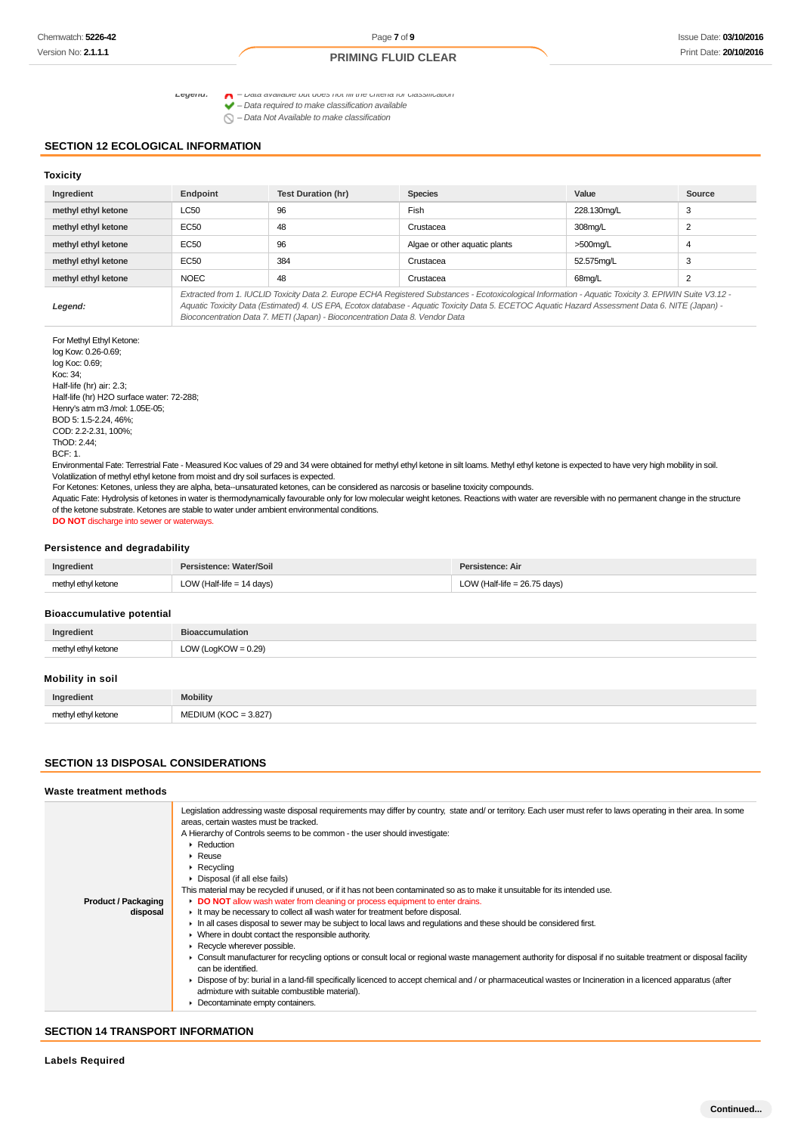Legend:  $\bigcap$  - Data available but does not fill the criteria for classification  $\blacktriangleright$  – Data required to make classification available<br> $\blacktriangleright$  – Data required to make classification available

 $\bigcap$  – Data Not Available to make classification

## **SECTION 12 ECOLOGICAL INFORMATION**

#### **Toxicity**

| Ingredient          | Endpoint                                                                                                                                              | <b>Test Duration (hr)</b> | <b>Species</b>                | Value       | Source |
|---------------------|-------------------------------------------------------------------------------------------------------------------------------------------------------|---------------------------|-------------------------------|-------------|--------|
| methyl ethyl ketone | <b>LC50</b>                                                                                                                                           | 96                        | Fish                          | 228.130mg/L | 3      |
| methyl ethyl ketone | EC50                                                                                                                                                  | 48                        | Crustacea                     | 308mg/L     | 2      |
| methyl ethyl ketone | <b>EC50</b>                                                                                                                                           | 96                        | Algae or other aquatic plants | $>500$ mg/L | 4      |
| methyl ethyl ketone | EC50                                                                                                                                                  | 384                       | Crustacea                     | 52.575mg/L  | 3      |
| methyl ethyl ketone | <b>NOEC</b>                                                                                                                                           | 48                        | Crustacea                     | 68mg/L      | ົ      |
|                     | Extracted from 1. IUCLID Toxicity Data 2. Europe ECHA Registered Substances - Ecotoxicological Information - Aguatic Toxicity 3. EPIWIN Suite V3.12 - |                           |                               |             |        |

**Legend:**

Aquatic Toxicity Data (Estimated) 4. US EPA, Ecotox database - Aquatic Toxicity Data 5. ECETOC Aquatic Hazard Assessment Data 6. NITE (Japan) - Bioconcentration Data 7. METI (Japan) - Bioconcentration Data 8. Vendor Data

For Methyl Ethyl Ketone: log Kow: 0.26-0.69; log Koc: 0.69; Koc: 34; Half-life (hr) air: 2.3; Half-life (hr) H2O surface water: 72-288; Henry's atm m3 /mol: 1.05E-05; BOD 5: 1.5-2.24, 46%; COD: 2.2-2.31, 100%; ThOD: 2.44; BCF: 1.

Environmental Fate: Terrestrial Fate - Measured Koc values of 29 and 34 were obtained for methyl ethyl ketone in silt loams. Methyl ethyl ketone is expected to have very high mobility in soil. Volatilization of methyl ethyl ketone from moist and dry soil surfaces is expected.

For Ketones: Ketones, unless they are alpha, beta--unsaturated ketones, can be considered as narcosis or baseline toxicity compounds.

Aquatic Fate: Hydrolysis of ketones in water is thermodynamically favourable only for low molecular weight ketones. Reactions with water are reversible with no permanent change in the structure of the ketone substrate. Ketones are stable to water under ambient environmental conditions.

**DO NOT** discharge into sewer or waterways.

#### **Persistence and degradability**

| Ingredient          | Persistence: Water/Soil     | Persistence: Air               |
|---------------------|-----------------------------|--------------------------------|
| methyl ethyl ketone | LOW (Half-life $= 14$ days) | LOW (Half-life = $26.75$ days) |

#### **Bioaccumulative potential**

| Ingredient          | <b>Bioaccumulation</b> |
|---------------------|------------------------|
| methyl ethyl ketone | LOW (LogKOW = $0.29$ ) |

#### **Mobility in soil**

| Ingredient          | <b>Mobility</b>                             |
|---------------------|---------------------------------------------|
| methyl ethyl ketone | $= 3.827$<br>400 <sup>2</sup><br><b>NAL</b> |

#### **SECTION 13 DISPOSAL CONSIDERATIONS**

#### **Waste treatment methods**

| <b>Product / Packaging</b><br>disposal | Legislation addressing waste disposal requirements may differ by country, state and/or territory. Each user must refer to laws operating in their area. In some<br>areas, certain wastes must be tracked.<br>A Hierarchy of Controls seems to be common - the user should investigate:<br>$\blacktriangleright$ Reduction<br>Reuse<br>$\triangleright$ Recycling<br>• Disposal (if all else fails)<br>This material may be recycled if unused, or if it has not been contaminated so as to make it unsuitable for its intended use.<br>DO NOT allow wash water from cleaning or process equipment to enter drains.<br>It may be necessary to collect all wash water for treatment before disposal.<br>In all cases disposal to sewer may be subject to local laws and regulations and these should be considered first.<br>$\triangleright$ Where in doubt contact the responsible authority.<br>Recycle wherever possible.<br>• Consult manufacturer for recycling options or consult local or regional waste management authority for disposal if no suitable treatment or disposal facility<br>can be identified.<br>▶ Dispose of by: burial in a land-fill specifically licenced to accept chemical and / or pharmaceutical wastes or Incineration in a licenced apparatus (after<br>admixture with suitable combustible material). |
|----------------------------------------|-----------------------------------------------------------------------------------------------------------------------------------------------------------------------------------------------------------------------------------------------------------------------------------------------------------------------------------------------------------------------------------------------------------------------------------------------------------------------------------------------------------------------------------------------------------------------------------------------------------------------------------------------------------------------------------------------------------------------------------------------------------------------------------------------------------------------------------------------------------------------------------------------------------------------------------------------------------------------------------------------------------------------------------------------------------------------------------------------------------------------------------------------------------------------------------------------------------------------------------------------------------------------------------------------------------------------------------------|
|                                        | Decontaminate empty containers.                                                                                                                                                                                                                                                                                                                                                                                                                                                                                                                                                                                                                                                                                                                                                                                                                                                                                                                                                                                                                                                                                                                                                                                                                                                                                                         |
|                                        |                                                                                                                                                                                                                                                                                                                                                                                                                                                                                                                                                                                                                                                                                                                                                                                                                                                                                                                                                                                                                                                                                                                                                                                                                                                                                                                                         |

#### **SECTION 14 TRANSPORT INFORMATION**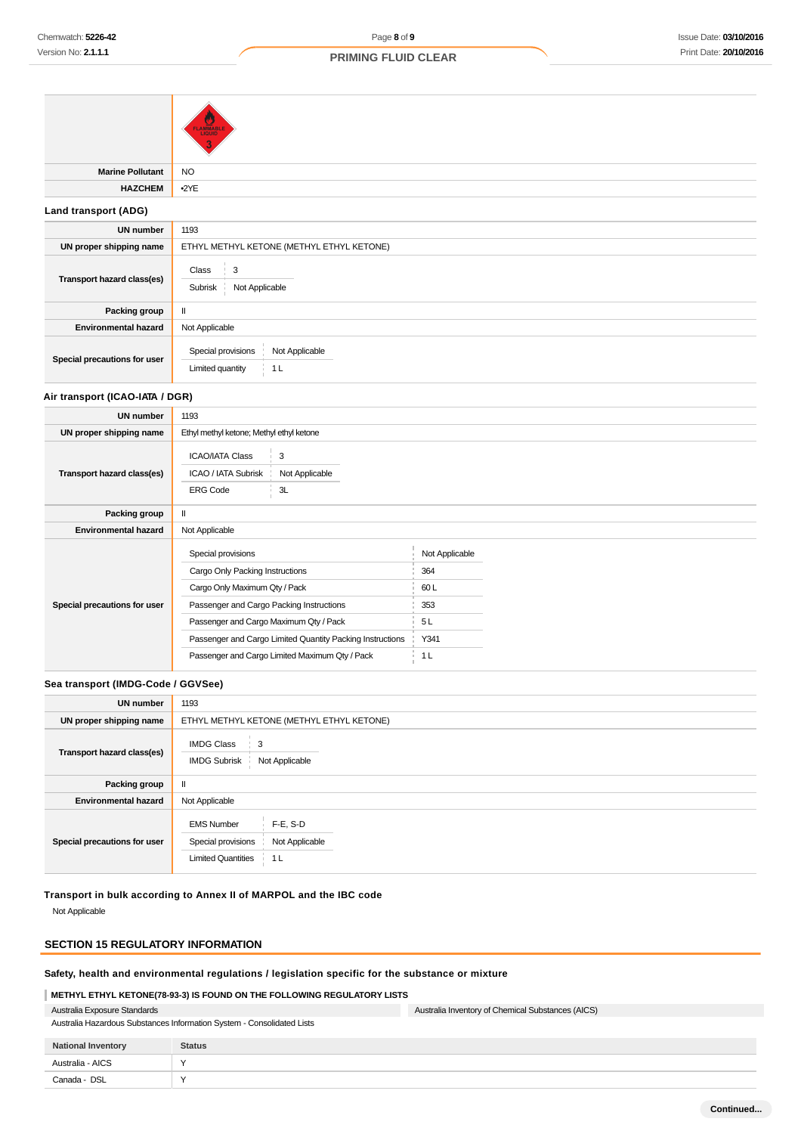|                                 | <b>FLAMMABLE</b>                                                                              |  |  |
|---------------------------------|-----------------------------------------------------------------------------------------------|--|--|
| <b>Marine Pollutant</b>         | <b>NO</b>                                                                                     |  |  |
| <b>HAZCHEM</b>                  | $-2YE$                                                                                        |  |  |
| Land transport (ADG)            |                                                                                               |  |  |
| <b>UN number</b>                | 1193                                                                                          |  |  |
| UN proper shipping name         | ETHYL METHYL KETONE (METHYL ETHYL KETONE)                                                     |  |  |
| Transport hazard class(es)      | 3<br>Class<br>Not Applicable<br>Subrisk                                                       |  |  |
| Packing group                   | $\mathbf{II}$                                                                                 |  |  |
| <b>Environmental hazard</b>     | Not Applicable                                                                                |  |  |
| Special precautions for user    | Special provisions<br>Not Applicable<br>Limited quantity<br>1 <sub>L</sub>                    |  |  |
| Air transport (ICAO-IATA / DGR) |                                                                                               |  |  |
| <b>UN number</b>                | 1193                                                                                          |  |  |
| UN proper shipping name         | Ethyl methyl ketone; Methyl ethyl ketone                                                      |  |  |
| Transport hazard class(es)      | 3<br><b>ICAO/IATA Class</b><br>ICAO / IATA Subrisk<br>Not Applicable<br>3L<br><b>ERG Code</b> |  |  |
| Packing group                   | $\mathbf{I}$                                                                                  |  |  |
| <b>Environmental hazard</b>     | Not Applicable                                                                                |  |  |

|                              | Special provisions                                        | Not Applicable |
|------------------------------|-----------------------------------------------------------|----------------|
|                              | Cargo Only Packing Instructions                           | 364            |
|                              | Cargo Only Maximum Qty / Pack                             | 60 L           |
| Special precautions for user | Passenger and Cargo Packing Instructions                  | 353            |
|                              | Passenger and Cargo Maximum Qty / Pack                    | 5L             |
|                              | Passenger and Cargo Limited Quantity Packing Instructions | Y341           |
|                              | Passenger and Cargo Limited Maximum Qty / Pack            | 1 L            |
|                              |                                                           |                |

## **Sea transport (IMDG-Code / GGVSee)**

| <b>UN number</b>             | 1193                                                                                                                    |  |  |
|------------------------------|-------------------------------------------------------------------------------------------------------------------------|--|--|
| UN proper shipping name      | ETHYL METHYL KETONE (METHYL ETHYL KETONE)                                                                               |  |  |
| Transport hazard class(es)   | <b>IMDG Class</b><br>3<br><b>IMDG Subrisk</b><br>Not Applicable                                                         |  |  |
| Packing group                | $\mathbf{I}$                                                                                                            |  |  |
| <b>Environmental hazard</b>  | Not Applicable                                                                                                          |  |  |
| Special precautions for user | $F-E$ , S-D<br><b>EMS Number</b><br>Not Applicable<br>Special provisions<br><b>Limited Quantities</b><br>1 <sub>L</sub> |  |  |

**Transport in bulk according to Annex II of MARPOL and the IBC code**

Not Applicable

 $\overline{\phantom{0}}$ 

## **SECTION 15 REGULATORY INFORMATION**

## **Safety, health and environmental regulations / legislation specific for the substance or mixture**

## **METHYL ETHYL KETONE(78-93-3) IS FOUND ON THE FOLLOWING REGULATORY LISTS**

|  | Australia Exposure Standards |  |  |  |  |  |
|--|------------------------------|--|--|--|--|--|
|  |                              |  |  |  |  |  |

| Australia Hazardous Substances Information System - Consolidated Lists |  |
|------------------------------------------------------------------------|--|
|------------------------------------------------------------------------|--|

| <b>National Inventory</b> | <b>Status</b> |
|---------------------------|---------------|
| Australia - AICS          | $\lambda$     |
| Canada - DSL              | $\lambda$     |

Australia Inventory of Chemical Substances (AICS)